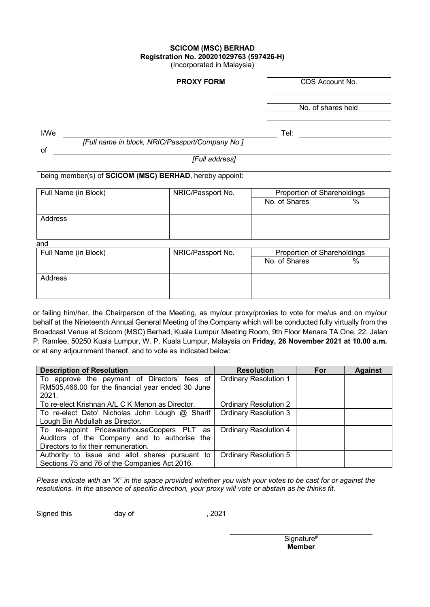## **SCICOM (MSC) BERHAD Registration No. 200201029763 (597426-H)**

(Incorporated in Malaysia)

**PROXY FORM** CDS Account No.

No. of shares held

I/We Tel:

 *[Full name in block, NRIC/Passport/Company No.]*

of

*[Full address]*

being member(s) of **SCICOM (MSC) BERHAD**, hereby appoint:

| Full Name (in Block) | NRIC/Passport No. | Proportion of Shareholdings |   |
|----------------------|-------------------|-----------------------------|---|
|                      |                   | No. of Shares               | % |
|                      |                   |                             |   |
| Address              |                   |                             |   |
|                      |                   |                             |   |
|                      |                   |                             |   |
| and                  |                   |                             |   |

| Full Name (in Block) | NRIC/Passport No. | Proportion of Shareholdings |   |  |
|----------------------|-------------------|-----------------------------|---|--|
|                      |                   | No. of Shares               | % |  |
|                      |                   |                             |   |  |
| <b>Address</b>       |                   |                             |   |  |
|                      |                   |                             |   |  |
|                      |                   |                             |   |  |

or failing him/her, the Chairperson of the Meeting, as my/our proxy/proxies to vote for me/us and on my/our behalf at the Nineteenth Annual General Meeting of the Company which will be conducted fully virtually from the Broadcast Venue at Scicom (MSC) Berhad, Kuala Lumpur Meeting Room, 9th Floor Menara TA One, 22, Jalan P. Ramlee, 50250 Kuala Lumpur, W. P. Kuala Lumpur, Malaysia on **Friday, 26 November 2021 at 10.00 a.m.** or at any adjournment thereof, and to vote as indicated below:

| <b>Description of Resolution</b>                  | <b>Resolution</b>            | For | <b>Against</b> |
|---------------------------------------------------|------------------------------|-----|----------------|
| To approve the payment of Directors' fees of      | <b>Ordinary Resolution 1</b> |     |                |
| RM505,466.00 for the financial year ended 30 June |                              |     |                |
| 2021.                                             |                              |     |                |
| To re-elect Krishnan A/L C K Menon as Director.   | <b>Ordinary Resolution 2</b> |     |                |
| To re-elect Dato' Nicholas John Lough @ Sharif    | <b>Ordinary Resolution 3</b> |     |                |
| Lough Bin Abdullah as Director.                   |                              |     |                |
| To re-appoint PricewaterhouseCoopers PLT as       | <b>Ordinary Resolution 4</b> |     |                |
| Auditors of the Company and to authorise the      |                              |     |                |
| Directors to fix their remuneration.              |                              |     |                |
| Authority to issue and allot shares pursuant to   | <b>Ordinary Resolution 5</b> |     |                |
| Sections 75 and 76 of the Companies Act 2016.     |                              |     |                |

*Please indicate with an "X" in the space provided whether you wish your votes to be cast for or against the resolutions. In the absence of specific direction, your proxy will vote or abstain as he thinks fit.* 

Signed this day of the control of the set of the set of the set of the set of the set of the set of the set of the set of the set of the set of the set of the set of the set of the set of the set of the set of the set of t

Signature# **Member**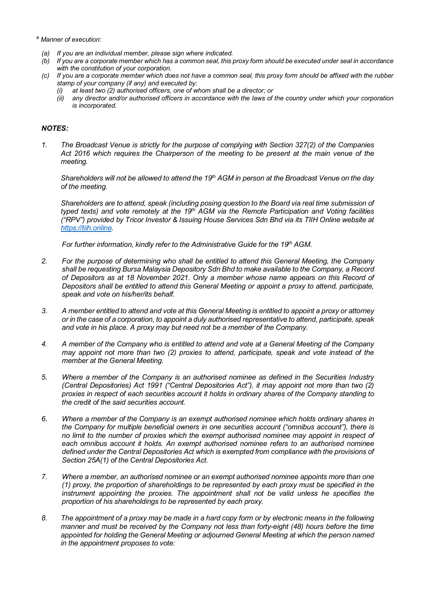- *# Manner of execution:*
	- *(a) If you are an individual member, please sign where indicated.*
	- *(b) If you are a corporate member which has a common seal, this proxy form should be executed under seal in accordance with the constitution of your corporation.*
	- *(c) If you are a corporate member which does not have a common seal, this proxy form should be affixed with the rubber stamp of your company (if any) and executed by:*
		- *(i) at least two (2) authorised officers, one of whom shall be a director; or*
		- *(ii) any director and/or authorised officers in accordance with the laws of the country under which your corporation is incorporated.*

## *NOTES:*

*1. The Broadcast Venue is strictly for the purpose of complying with Section 327(2) of the Companies Act 2016 which requires the Chairperson of the meeting to be present at the main venue of the meeting.*

*Shareholders will not be allowed to attend the 19th AGM in person at the Broadcast Venue on the day of the meeting.*

*Shareholders are to attend, speak (including posing question to the Board via real time submission of typed texts) and vote remotely at the 19th AGM via the Remote Participation and Voting facilities ("RPV") provided by Tricor Investor & Issuing House Services Sdn Bhd via its TIIH Online website at [https://tiih.online.](https://tiih.online/)*

*For further information, kindly refer to the Administrative Guide for the 19th AGM.*

- *2. For the purpose of determining who shall be entitled to attend this General Meeting, the Company shall be requesting Bursa Malaysia Depository Sdn Bhd to make available to the Company, a Record of Depositors as at 18 November 2021. Only a member whose name appears on this Record of Depositors shall be entitled to attend this General Meeting or appoint a proxy to attend, participate, speak and vote on his/her/its behalf.*
- *3. A member entitled to attend and vote at this General Meeting is entitled to appoint a proxy or attorney or in the case of a corporation, to appoint a duly authorised representative to attend, participate, speak and vote in his place. A proxy may but need not be a member of the Company.*
- *4. A member of the Company who is entitled to attend and vote at a General Meeting of the Company may appoint not more than two (2) proxies to attend, participate, speak and vote instead of the member at the General Meeting.*
- *5. Where a member of the Company is an authorised nominee as defined in the Securities Industry (Central Depositories) Act 1991 ("Central Depositories Act"), it may appoint not more than two (2) proxies in respect of each securities account it holds in ordinary shares of the Company standing to the credit of the said securities account.*
- *6. Where a member of the Company is an exempt authorised nominee which holds ordinary shares in the Company for multiple beneficial owners in one securities account ("omnibus account"), there is no limit to the number of proxies which the exempt authorised nominee may appoint in respect of each omnibus account it holds. An exempt authorised nominee refers to an authorised nominee defined under the Central Depositories Act which is exempted from compliance with the provisions of Section 25A(1) of the Central Depositories Act.*
- *7. Where a member, an authorised nominee or an exempt authorised nominee appoints more than one (1) proxy, the proportion of shareholdings to be represented by each proxy must be specified in the instrument appointing the proxies. The appointment shall not be valid unless he specifies the proportion of his shareholdings to be represented by each proxy.*
- *8. The appointment of a proxy may be made in a hard copy form or by electronic means in the following manner and must be received by the Company not less than forty-eight (48) hours before the time appointed for holding the General Meeting or adjourned General Meeting at which the person named in the appointment proposes to vote:*